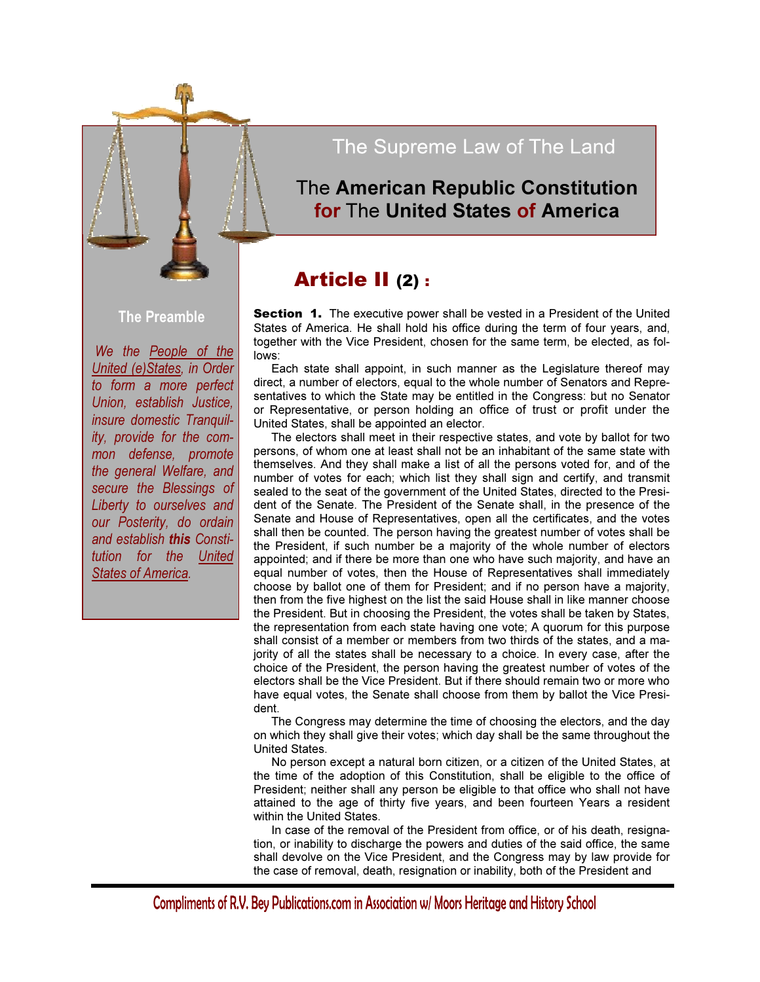

The Preamble

 We the People of the United (e)States, in Order to form a more perfect Union, establish Justice, insure domestic Tranquility, provide for the common defense, promote the general Welfare, and secure the Blessings of Liberty to ourselves and our Posterity, do ordain and establish this Constitution for the United

States of America.

The Supreme Law of The Land

## The American Republic Constitution for The United States of America

# Article II (2) :

**Section 1.** The executive power shall be vested in a President of the United States of America. He shall hold his office during the term of four years, and, together with the Vice President, chosen for the same term, be elected, as follows:

 Each state shall appoint, in such manner as the Legislature thereof may direct, a number of electors, equal to the whole number of Senators and Representatives to which the State may be entitled in the Congress: but no Senator or Representative, or person holding an office of trust or profit under the United States, shall be appointed an elector.

 The electors shall meet in their respective states, and vote by ballot for two persons, of whom one at least shall not be an inhabitant of the same state with themselves. And they shall make a list of all the persons voted for, and of the number of votes for each; which list they shall sign and certify, and transmit sealed to the seat of the government of the United States, directed to the President of the Senate. The President of the Senate shall, in the presence of the Senate and House of Representatives, open all the certificates, and the votes shall then be counted. The person having the greatest number of votes shall be the President, if such number be a majority of the whole number of electors appointed; and if there be more than one who have such majority, and have an equal number of votes, then the House of Representatives shall immediately choose by ballot one of them for President; and if no person have a majority, then from the five highest on the list the said House shall in like manner choose the President. But in choosing the President, the votes shall be taken by States, the representation from each state having one vote; A quorum for this purpose shall consist of a member or members from two thirds of the states, and a majority of all the states shall be necessary to a choice. In every case, after the choice of the President, the person having the greatest number of votes of the electors shall be the Vice President. But if there should remain two or more who have equal votes, the Senate shall choose from them by ballot the Vice President.

 The Congress may determine the time of choosing the electors, and the day on which they shall give their votes; which day shall be the same throughout the United States.

 No person except a natural born citizen, or a citizen of the United States, at the time of the adoption of this Constitution, shall be eligible to the office of President; neither shall any person be eligible to that office who shall not have attained to the age of thirty five years, and been fourteen Years a resident within the United States.

 In case of the removal of the President from office, or of his death, resignation, or inability to discharge the powers and duties of the said office, the same shall devolve on the Vice President, and the Congress may by law provide for the case of removal, death, resignation or inability, both of the President and